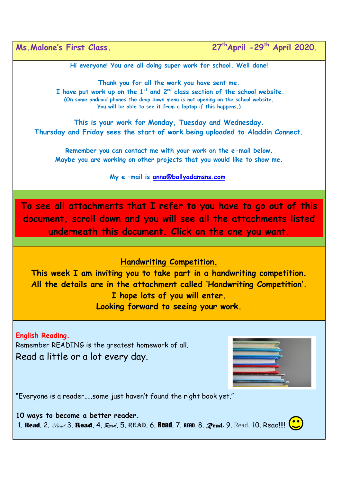**Hi everyone! You are all doing super work for school. Well done!** 

**Thank you for all the work you have sent me. I have put work up on the 1st and 2nd class section of the school website. (On some android phones the drop down menu is not opening on the school website. You will be able to see it from a laptop if this happens.)**

**This is your work for Monday, Tuesday and Wednesday. Thursday and Friday sees the start of work being uploaded to Aladdin Connect.** 

**Remember you can contact me with your work on the e-mail below. Maybe you are working on other projects that you would like to show me.** 

**My e –mail is [anna@ballyadamsns.com](mailto:anna@ballyadamsns.com)**

**To see all attachments that I refer to you have to go out of this document, scroll down and you will see all the attachments listed underneath this document. Click on the one you want.** 

## **Handwriting Competition.**

**This week I am inviting you to take part in a handwriting competition. All the details are in the attachment called 'Handwriting Competition'. I hope lots of you will enter. Looking forward to seeing your work.** 

**English Reading.**  Remember READING is the greatest homework of all. Read a little or a lot every day.



"Everyone is a reader…..some just haven't found the right book yet."

**10 ways to become a better reader.** 1. **Read. 2.** *Read.* 3. **Read.** 4. *Read.* 5. READ. 6. **Read.** 7. READ. 8. *Read.* 9. Read. 10. Read!!!! (...)

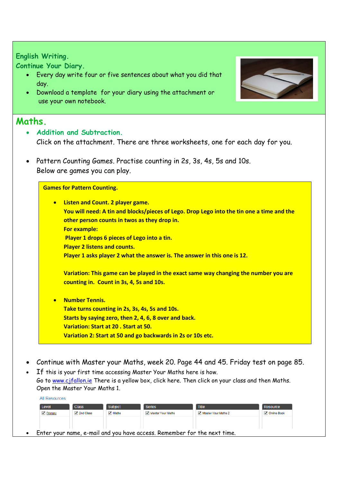## **English Writing.**

**Continue Your Diary.**

All Department

- Every day write four or five sentences about what you did that day.
- Download a template for your diary using the attachment or use your own notebook.

## **Maths.**

- **Addition and Subtraction.** Click on the attachment. There are three worksheets, one for each day for you.
- Pattern Counting Games. Practise counting in 2s, 3s, 4s, 5s and 10s. Below are games you can play.

## **Games for Pattern Counting.**

| $\bullet$ | <b>Listen and Count. 2 player game.</b>                                                   |
|-----------|-------------------------------------------------------------------------------------------|
|           | You will need: A tin and blocks/pieces of Lego. Drop Lego into the tin one a time and the |
|           | other person counts in twos as they drop in.                                              |
|           | <b>For example:</b>                                                                       |
|           | Player 1 drops 6 pieces of Lego into a tin.                                               |
|           | <b>Player 2 listens and counts.</b>                                                       |
|           | Player 1 asks player 2 what the answer is. The answer in this one is 12.                  |
|           | Variation: This game can be played in the exact same way changing the number you are      |
|           | counting in. Count in 3s, 4, 5s and 10s.                                                  |
|           | <b>Number Tennis.</b>                                                                     |
|           | Take turns counting in 2s, 3s, 4s, 5s and 10s.                                            |
|           | Starts by saying zero, then 2, 4, 6, 8 over and back.                                     |
|           | Variation: Start at 20, Start at 50.                                                      |

- **Variation 2: Start at 50 and go backwards in 2s or 10s etc.**
- Continue with Master your Maths, week 20. Page 44 and 45. Friday test on page 85.
- If this is your first time accessing Master Your Maths here is how. Go to [www.cjfallon.ie](http://www.cjfallon.ie/) There is a yellow box, click here. Then click on your class and then Maths. Open the Master Your Maths 1.

| Level                         | <b>Class</b>         | Subject                    | <b>Series</b>       | <b>Title</b>        | Resource      |
|-------------------------------|----------------------|----------------------------|---------------------|---------------------|---------------|
| $\blacktriangleright$ Primary | $\sqrt{2}$ 2nd Class | $\sqrt{\phantom{a}}$ Maths | √ Master Your Maths | Master Your Maths 2 | ✔ Online Book |
|                               |                      |                            |                     |                     |               |
|                               |                      |                            |                     |                     |               |
|                               |                      |                            |                     |                     |               |

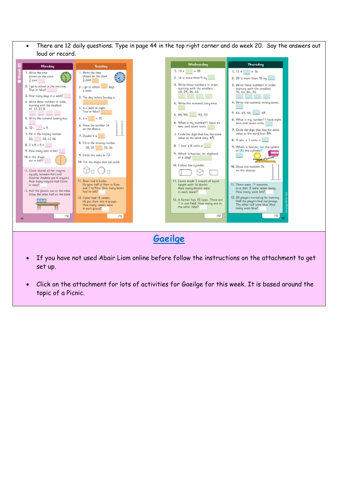There are 12 daily questions. Type in page 44 in the top right corner and do week 20. Say the answers out loud or record.



- If you have not used Abair Liom online before follow the instructions on the attachment to get set up.
- Click on the attachment for lots of activities for Gaeilge for this week. It is based around the topic of a Picnic.